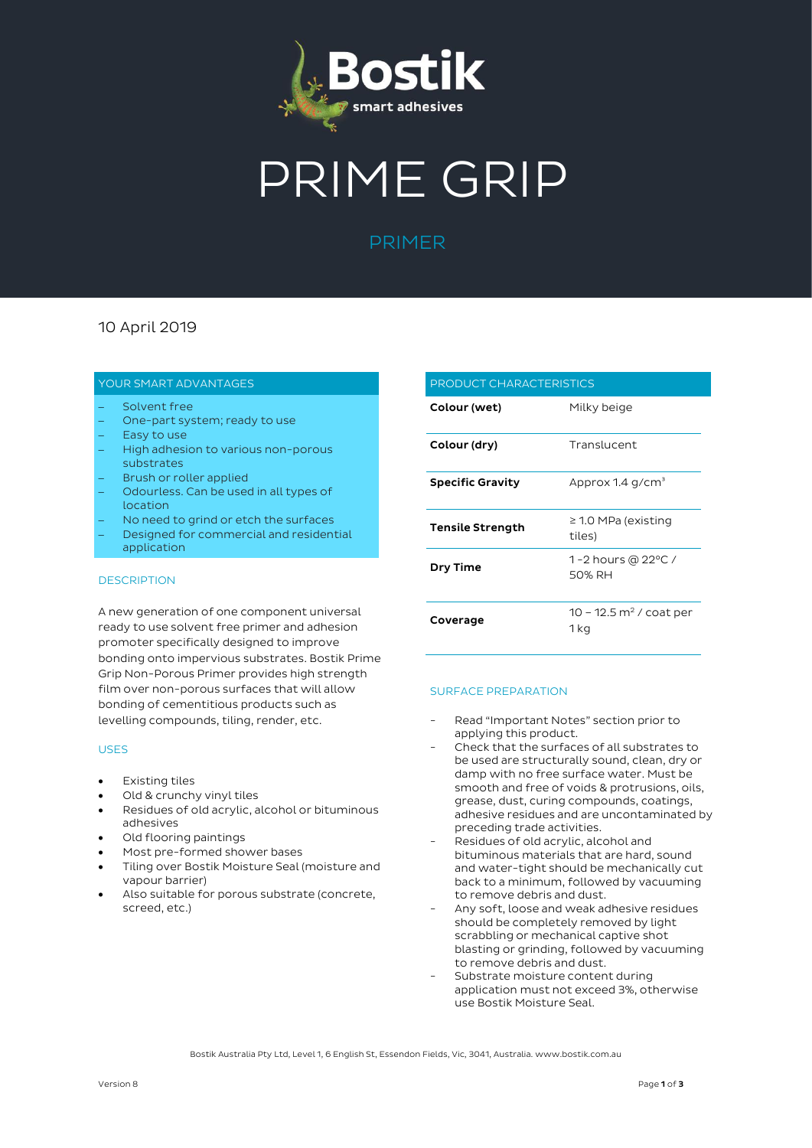

# PRIME GRIP

## PRIMER

### 10 April 2019

#### YOUR SMART ADVANTAGES

- Solvent free
- One-part system; ready to use
- Easy to use
- High adhesion to various non-porous substrates
- Brush or roller applied
- Odourless. Can be used in all types of location
- No need to grind or etch the surfaces
- Designed for commercial and residential application

#### DESCRIPTION

A new generation of one component universal ready to use solvent free primer and adhesion promoter specifically designed to improve bonding onto impervious substrates. Bostik Prime Grip Non-Porous Primer provides high strength film over non-porous surfaces that will allow bonding of cementitious products such as levelling compounds, tiling, render, etc.

#### USES

- Existing tiles
- Old & crunchy vinyl tiles
- Residues of old acrylic, alcohol or bituminous adhesives
- Old flooring paintings
- Most pre-formed shower bases
- Tiling over Bostik Moisture Seal (moisture and vapour barrier)
- Also suitable for porous substrate (concrete, screed, etc.)

|                         | PRODUCT CHARACTERISTICS                     |  |  |
|-------------------------|---------------------------------------------|--|--|
| Colour (wet)            | Milky beige                                 |  |  |
| Colour (dry)            | Translucent                                 |  |  |
| <b>Specific Gravity</b> | Approx 1.4 g/cm <sup>3</sup>                |  |  |
| <b>Tensile Strength</b> | $\geq$ 1.0 MPa (existing<br>tiles)          |  |  |
| Dry Time                | 1-2 hours @ 22°C /<br>50% RH                |  |  |
| Coverage                | 10 – 12.5 m <sup>2</sup> / coat per<br>1 kg |  |  |

#### SURFACE PREPARATION

- Read "Important Notes" section prior to applying this product.
- Check that the surfaces of all substrates to be used are structurally sound, clean, dry or damp with no free surface water. Must be smooth and free of voids & protrusions, oils, grease, dust, curing compounds, coatings, adhesive residues and are uncontaminated by preceding trade activities.
- Residues of old acrylic, alcohol and bituminous materials that are hard, sound and water-tight should be mechanically cut back to a minimum, followed by vacuuming to remove debris and dust.
- Any soft, loose and weak adhesive residues should be completely removed by light scrabbling or mechanical captive shot blasting or grinding, followed by vacuuming to remove debris and dust.
- Substrate moisture content during application must not exceed 3%, otherwise use Bostik Moisture Seal.

Bostik Australia Pty Ltd, Level 1, 6 English St, Essendon Fields, Vic, 3041, Australia. www.bostik.com.au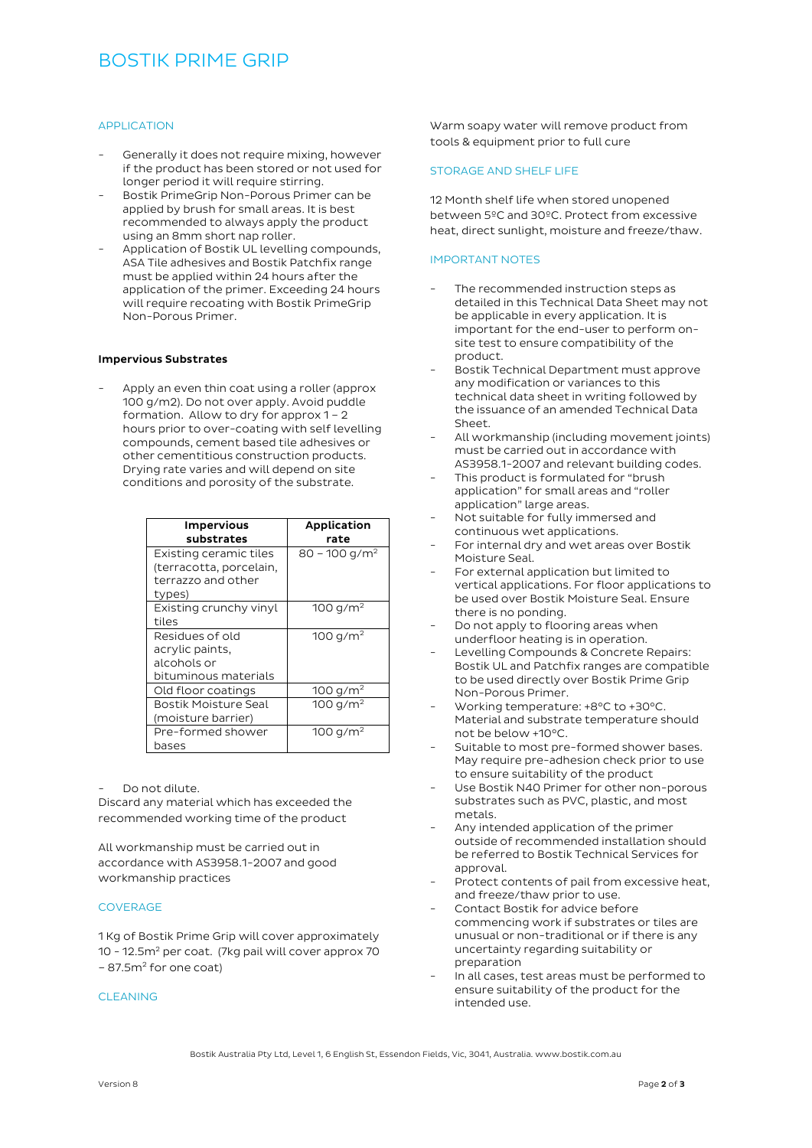## BOSTIK PRIME GRIP

#### APPLICATION

- Generally it does not require mixing, however if the product has been stored or not used for longer period it will require stirring.
- Bostik PrimeGrip Non-Porous Primer can be applied by brush for small areas. It is best recommended to always apply the product using an 8mm short nap roller.
- Application of Bostik UL levelling compounds, ASA Tile adhesives and Bostik Patchfix range must be applied within 24 hours after the application of the primer. Exceeding 24 hours will require recoating with Bostik PrimeGrip Non-Porous Primer.

#### Impervious Substrates

Apply an even thin coat using a roller (approx 100 g/m2). Do not over apply. Avoid puddle formation. Allow to dry for approx 1 – 2 hours prior to over-coating with self levelling compounds, cement based tile adhesives or other cementitious construction products. Drying rate varies and will depend on site conditions and porosity of the substrate.

| <b>Impervious</b>       | Application               |
|-------------------------|---------------------------|
| substrates              | rate                      |
| Existing ceramic tiles  | 80 – 100 g/m <sup>2</sup> |
| (terracotta, porcelain, |                           |
| terrazzo and other      |                           |
| types)                  |                           |
| Existing crunchy vinyl  | 100 $g/m^2$               |
| tiles                   |                           |
| Residues of old         | 100 g/m <sup>2</sup>      |
| acrylic paints,         |                           |
| alcohols or             |                           |
| bituminous materials    |                           |
| Old floor coatings      | 100 $g/m^2$               |
| Bostik Moisture Seal    | 100 $q/m^2$               |
| (moisture barrier)      |                           |
| Pre-formed shower       | 100 g/m <sup>2</sup>      |
| bases                   |                           |

Do not dilute.

Discard any material which has exceeded the recommended working time of the product

All workmanship must be carried out in accordance with AS3958.1-2007 and good workmanship practices

#### COVERAGE

1 Kg of Bostik Prime Grip will cover approximately 10 - 12.5m<sup>2</sup> per coat. (7kg pail will cover approx 70 - 87.5m<sup>2</sup> for one coat)

#### CLEANING

Warm soapy water will remove product from tools & equipment prior to full cure

#### STORAGE AND SHELF LIFE

12 Month shelf life when stored unopened between 5ºC and 30ºC. Protect from excessive heat, direct sunlight, moisture and freeze/thaw.

#### IMPORTANT NOTES

- The recommended instruction steps as detailed in this Technical Data Sheet may not be applicable in every application. It is important for the end-user to perform onsite test to ensure compatibility of the product.
- Bostik Technical Department must approve any modification or variances to this technical data sheet in writing followed by the issuance of an amended Technical Data Sheet.
- All workmanship (including movement joints) must be carried out in accordance with AS3958.1-2007 and relevant building codes.
- This product is formulated for "brush application" for small areas and "roller application" large areas.
- Not suitable for fully immersed and continuous wet applications.
- For internal dry and wet areas over Bostik Moisture Seal.
- For external application but limited to vertical applications. For floor applications to be used over Bostik Moisture Seal. Ensure there is no ponding.
- Do not apply to flooring areas when underfloor heating is in operation.
- Levelling Compounds & Concrete Repairs: Bostik UL and Patchfix ranges are compatible to be used directly over Bostik Prime Grip Non-Porous Primer.
- Working temperature: +8°C to +30°C. Material and substrate temperature should not be below +10°C.
- Suitable to most pre-formed shower bases. May require pre-adhesion check prior to use to ensure suitability of the product
- Use Bostik N40 Primer for other non-porous substrates such as PVC, plastic, and most metals.
- Any intended application of the primer outside of recommended installation should be referred to Bostik Technical Services for approval.
- Protect contents of pail from excessive heat. and freeze/thaw prior to use.
- Contact Bostik for advice before commencing work if substrates or tiles are unusual or non-traditional or if there is any uncertainty regarding suitability or preparation
- In all cases, test areas must be performed to ensure suitability of the product for the intended use.

Bostik Australia Pty Ltd, Level 1, 6 English St, Essendon Fields, Vic, 3041, Australia. www.bostik.com.au